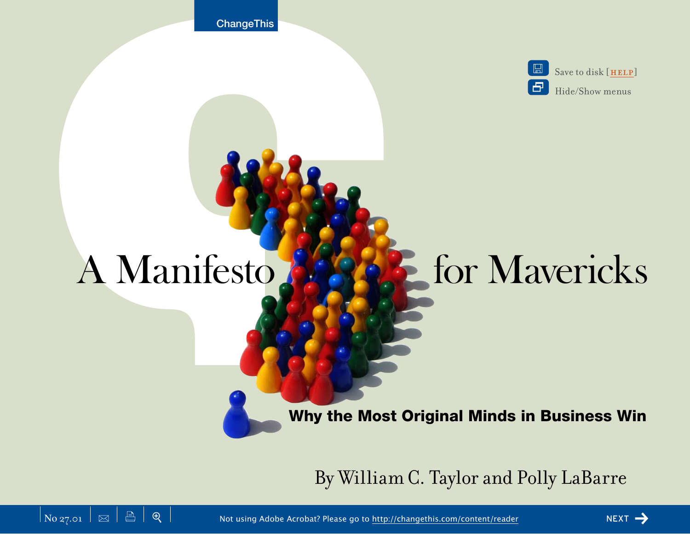**ChangeThis** 

 $\Box$ Save to disk [HELP] | 문 Hide/Show menus

# A Manifesto **Mayer & For Mavericks**

Why the Most Original Minds in Business Win

By William C. Taylor and Polly LaBarre



**△**  $\mathbb{R}$   $\mathbb{R}$   $\mathbb{R}$   $\mathbb{R}$  and  $\mathbb{R}$  are Acrobat? Please go to <http://changethis.com/content/reader> next next  $\rightarrow$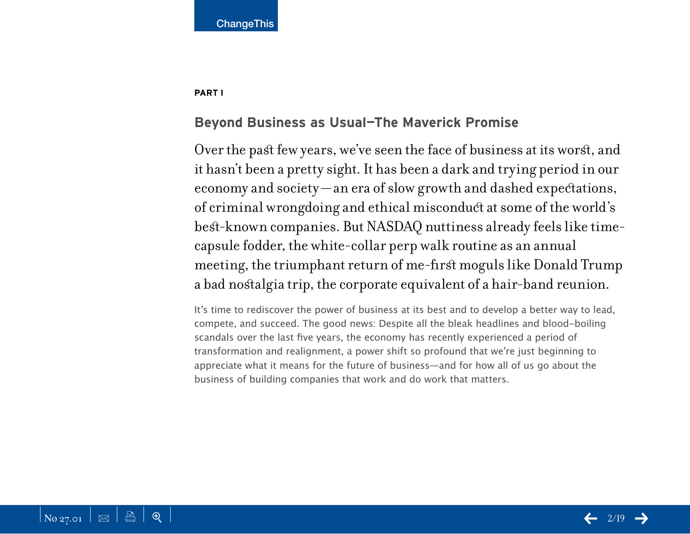#### **PART I**

## **Beyond Business as Usual—The Maverick Promise**

Over the past few years, we've seen the face of business at its worst, and it hasn't been a pretty sight. It has been a dark and trying period in our economy and society—an era of slow growth and dashed expectations, of criminal wrongdoing and ethical misconduct at some of the world's best-known companies. But NASDAQ nuttiness already feels like timecapsule fodder, the white-collar perp walk routine as an annual meeting, the triumphant return of me-first moguls like Donald Trump a bad nostalgia trip, the corporate equivalent of a hair-band reunion.

It's time to rediscover the power of business at its best and to develop a better way to lead, compete, and succeed. The good news: Despite all the bleak headlines and blood-boiling scandals over the last five years, the economy has recently experienced a period of transformation and realignment, a power shift so profound that we're just beginning to appreciate what it means for the future of business—and for how all of us go about the business of building companies that work and do work that matters.

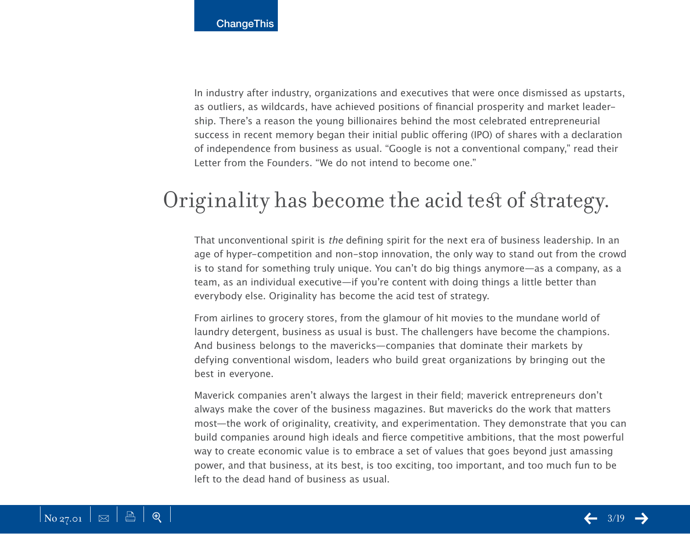In industry after industry, organizations and executives that were once dismissed as upstarts, as outliers, as wildcards, have achieved positions of financial prosperity and market leadership. There's a reason the young billionaires behind the most celebrated entrepreneurial success in recent memory began their initial public offering (IPO) of shares with a declaration of independence from business as usual. "Google is not a conventional company," read their Letter from the Founders. "We do not intend to become one."

# Originality has become the acid test of strategy.

That unconventional spirit is the defining spirit for the next era of business leadership. In an age of hyper-competition and non-stop innovation, the only way to stand out from the crowd is to stand for something truly unique. You can't do big things anymore—as a company, as a team, as an individual executive—if you're content with doing things a little better than everybody else. Originality has become the acid test of strategy.

From airlines to grocery stores, from the glamour of hit movies to the mundane world of laundry detergent, business as usual is bust. The challengers have become the champions. And business belongs to the mavericks—companies that dominate their markets by defying conventional wisdom, leaders who build great organizations by bringing out the best in everyone.

Maverick companies aren't always the largest in their field; maverick entrepreneurs don't always make the cover of the business magazines. But mavericks do the work that matters most—the work of originality, creativity, and experimentation. They demonstrate that you can build companies around high ideals and fierce competitive ambitions, that the most powerful way to create economic value is to embrace a set of values that goes beyond just amassing power, and that business, at its best, is too exciting, too important, and too much fun to be left to the dead hand of business as usual.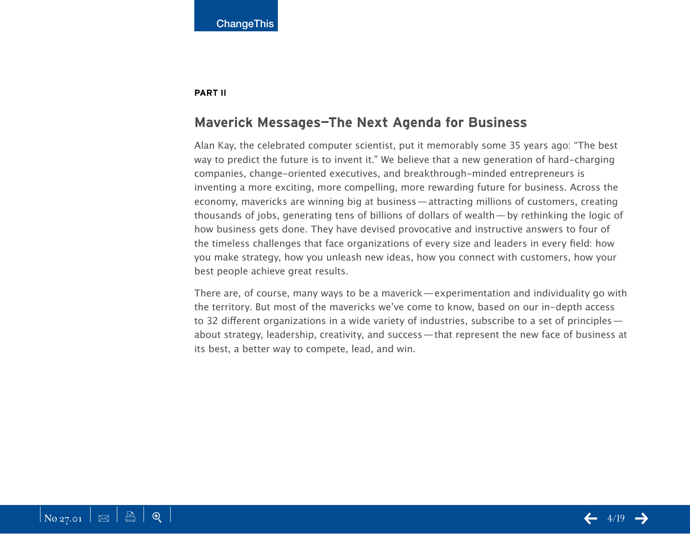#### **PART II**

## **Maverick Messages—The Next Agenda for Business**

Alan Kay, the celebrated computer scientist, put it memorably some 35 years ago: "The best way to predict the future is to invent it." We believe that a new generation of hard-charging companies, change-oriented executives, and breakthrough-minded entrepreneurs is inventing a more exciting, more compelling, more rewarding future for business. Across the economy, mavericks are winning big at business—attracting millions of customers, creating thousands of jobs, generating tens of billions of dollars of wealth—by rethinking the logic of how business gets done. They have devised provocative and instructive answers to four of the timeless challenges that face organizations of every size and leaders in every field: how you make strategy, how you unleash new ideas, how you connect with customers, how your best people achieve great results.

There are, of course, many ways to be a maverick—experimentation and individuality go with the territory. But most of the mavericks we've come to know, based on our in-depth access to 32 different organizations in a wide variety of industries, subscribe to a set of principles about strategy, leadership, creativity, and success—that represent the new face of business at its best, a better way to compete, lead, and win.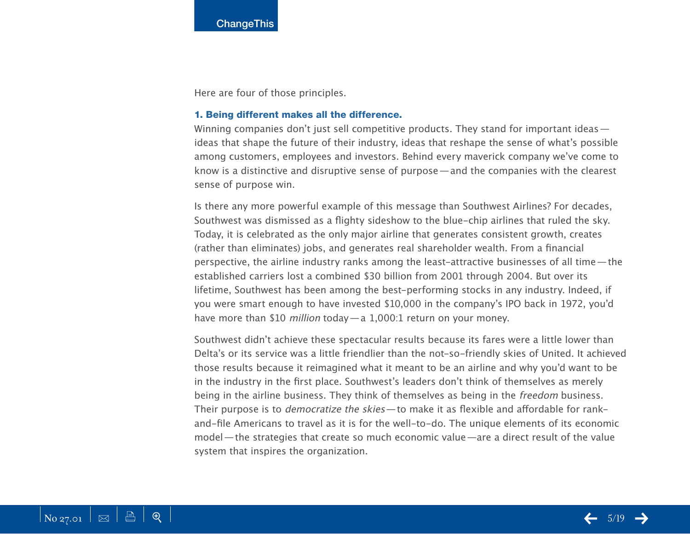Here are four of those principles.

#### 1. Being different makes all the difference.

Winning companies don't just sell competitive products. They stand for important ideas ideas that shape the future of their industry, ideas that reshape the sense of what's possible among customers, employees and investors. Behind every maverick company we've come to know is a distinctive and disruptive sense of purpose—and the companies with the clearest sense of purpose win.

Is there any more powerful example of this message than Southwest Airlines? For decades, Southwest was dismissed as a flighty sideshow to the blue-chip airlines that ruled the sky. Today, it is celebrated as the only major airline that generates consistent growth, creates (rather than eliminates) jobs, and generates real shareholder wealth. From a financial perspective, the airline industry ranks among the least-attractive businesses of all time—the established carriers lost a combined \$30 billion from 2001 through 2004. But over its lifetime, Southwest has been among the best-performing stocks in any industry. Indeed, if you were smart enough to have invested \$10,000 in the company's IPO back in 1972, you'd have more than \$10 *million* today - a 1,000:1 return on your money.

Southwest didn't achieve these spectacular results because its fares were a little lower than Delta's or its service was a little friendlier than the not-so-friendly skies of United. It achieved those results because it reimagined what it meant to be an airline and why you'd want to be in the industry in the first place. Southwest's leaders don't think of themselves as merely being in the airline business. They think of themselves as being in the freedom business. Their purpose is to democratize the skies—to make it as flexible and affordable for rankand-file Americans to travel as it is for the well-to-do. The unique elements of its economic model—the strategies that create so much economic value—are a direct result of the value system that inspires the organization.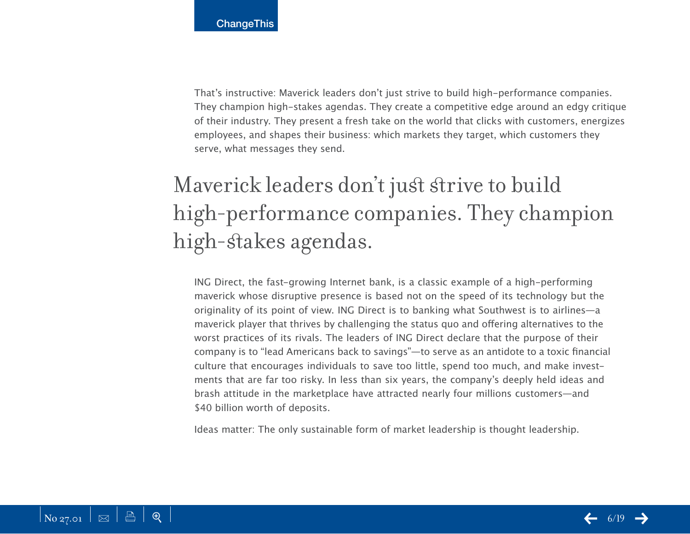That's instructive: Maverick leaders don't just strive to build high-performance companies. They champion high-stakes agendas. They create a competitive edge around an edgy critique of their industry. They present a fresh take on the world that clicks with customers, energizes employees, and shapes their business: which markets they target, which customers they serve, what messages they send.

# Maverick leaders don't just strive to build high-performance companies. They champion high-stakes agendas.

ING Direct, the fast-growing Internet bank, is a classic example of a high-performing maverick whose disruptive presence is based not on the speed of its technology but the originality of its point of view. ING Direct is to banking what Southwest is to airlines—a maverick player that thrives by challenging the status quo and offering alternatives to the worst practices of its rivals. The leaders of ING Direct declare that the purpose of their company is to "lead Americans back to savings"—to serve as an antidote to a toxic financial culture that encourages individuals to save too little, spend too much, and make investments that are far too risky. In less than six years, the company's deeply held ideas and brash attitude in the marketplace have attracted nearly four millions customers—and \$40 billion worth of deposits.

Ideas matter: The only sustainable form of market leadership is thought leadership.

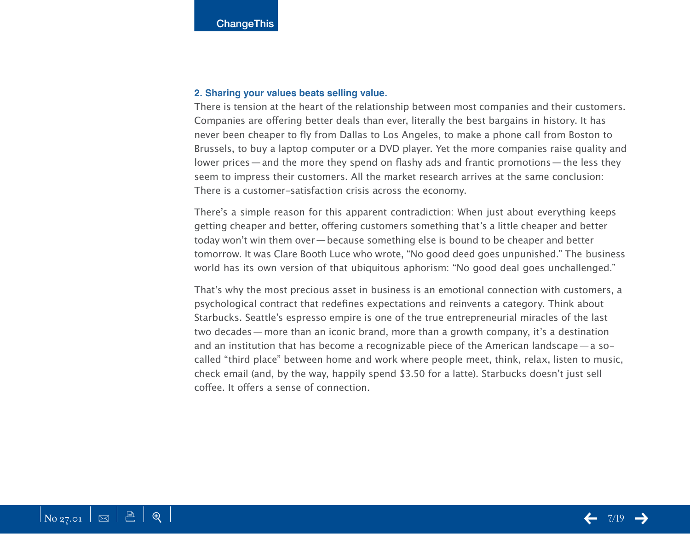#### **2. Sharing your values beats selling value.**

There is tension at the heart of the relationship between most companies and their customers. Companies are offering better deals than ever, literally the best bargains in history. It has never been cheaper to fly from Dallas to Los Angeles, to make a phone call from Boston to Brussels, to buy a laptop computer or a DVD player. Yet the more companies raise quality and lower prices—and the more they spend on flashy ads and frantic promotions—the less they seem to impress their customers. All the market research arrives at the same conclusion: There is a customer-satisfaction crisis across the economy.

There's a simple reason for this apparent contradiction: When just about everything keeps getting cheaper and better, offering customers something that's a little cheaper and better today won't win them over—because something else is bound to be cheaper and better tomorrow. It was Clare Booth Luce who wrote, "No good deed goes unpunished." The business world has its own version of that ubiquitous aphorism: "No good deal goes unchallenged."

That's why the most precious asset in business is an emotional connection with customers, a psychological contract that redefines expectations and reinvents a category. Think about Starbucks. Seattle's espresso empire is one of the true entrepreneurial miracles of the last two decades—more than an iconic brand, more than a growth company, it's a destination and an institution that has become a recognizable piece of the American landscape—a socalled "third place" between home and work where people meet, think, relax, listen to music, check email (and, by the way, happily spend \$3.50 for a latte). Starbucks doesn't just sell coffee. It offers a sense of connection.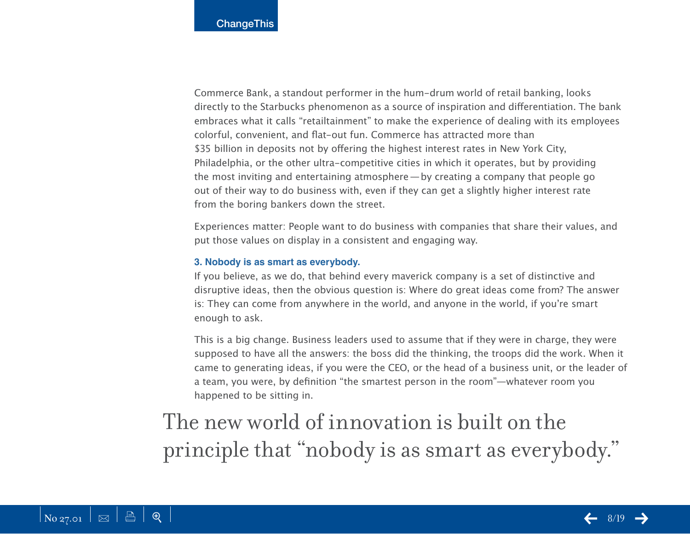Commerce Bank, a standout performer in the hum-drum world of retail banking, looks directly to the Starbucks phenomenon as a source of inspiration and differentiation. The bank embraces what it calls "retailtainment" to make the experience of dealing with its employees colorful, convenient, and flat-out fun. Commerce has attracted more than \$35 billion in deposits not by offering the highest interest rates in New York City, Philadelphia, or the other ultra-competitive cities in which it operates, but by providing the most inviting and entertaining atmosphere—by creating a company that people go out of their way to do business with, even if they can get a slightly higher interest rate from the boring bankers down the street.

Experiences matter: People want to do business with companies that share their values, and put those values on display in a consistent and engaging way.

#### **3. Nobody is as smart as everybody.**

If you believe, as we do, that behind every maverick company is a set of distinctive and disruptive ideas, then the obvious question is: Where do great ideas come from? The answer is: They can come from anywhere in the world, and anyone in the world, if you're smart enough to ask.

This is a big change. Business leaders used to assume that if they were in charge, they were supposed to have all the answers: the boss did the thinking, the troops did the work. When it came to generating ideas, if you were the CEO, or the head of a business unit, or the leader of a team, you were, by definition "the smartest person in the room"—whatever room you happened to be sitting in.

The new world of innovation is built on the principle that "nobody is as smart as everybody."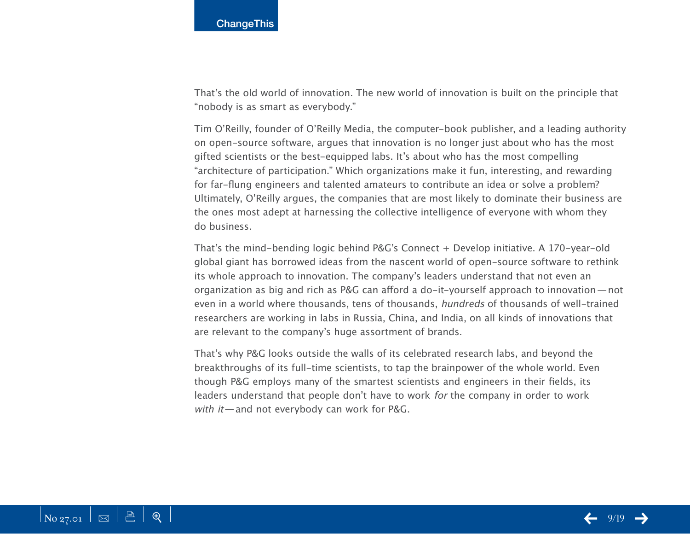That's the old world of innovation. The new world of innovation is built on the principle that "nobody is as smart as everybody."

Tim O'Reilly, founder of O'Reilly Media, the computer-book publisher, and a leading authority on open-source software, argues that innovation is no longer just about who has the most gifted scientists or the best-equipped labs. It's about who has the most compelling "architecture of participation." Which organizations make it fun, interesting, and rewarding for far-flung engineers and talented amateurs to contribute an idea or solve a problem? Ultimately, O'Reilly argues, the companies that are most likely to dominate their business are the ones most adept at harnessing the collective intelligence of everyone with whom they do business.

That's the mind-bending logic behind P&G's Connect + Develop initiative. A 170-year-old global giant has borrowed ideas from the nascent world of open-source software to rethink its whole approach to innovation. The company's leaders understand that not even an organization as big and rich as P&G can afford a do-it-yourself approach to innovation—not even in a world where thousands, tens of thousands, hundreds of thousands of well-trained researchers are working in labs in Russia, China, and India, on all kinds of innovations that are relevant to the company's huge assortment of brands.

That's why P&G looks outside the walls of its celebrated research labs, and beyond the breakthroughs of its full-time scientists, to tap the brainpower of the whole world. Even though P&G employs many of the smartest scientists and engineers in their fields, its leaders understand that people don't have to work for the company in order to work with it—and not everybody can work for P&G.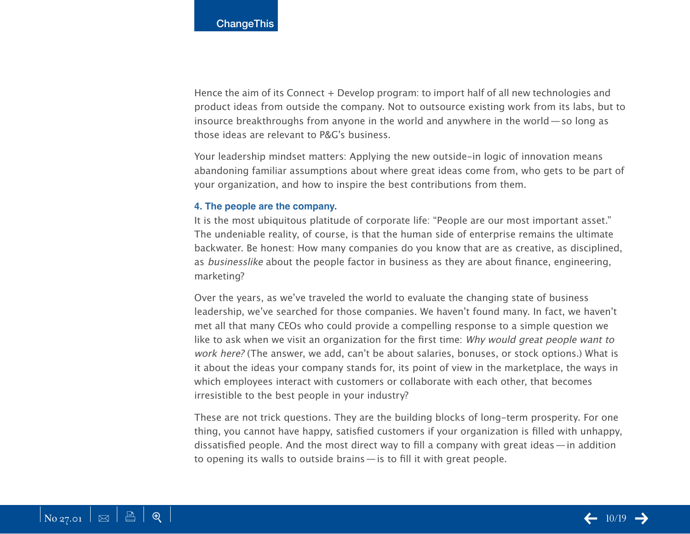Hence the aim of its Connect + Develop program: to import half of all new technologies and product ideas from outside the company. Not to outsource existing work from its labs, but to insource breakthroughs from anyone in the world and anywhere in the world—so long as those ideas are relevant to P&G's business.

Your leadership mindset matters: Applying the new outside-in logic of innovation means abandoning familiar assumptions about where great ideas come from, who gets to be part of your organization, and how to inspire the best contributions from them.

#### **4. The people are the company.**

It is the most ubiquitous platitude of corporate life: "People are our most important asset." The undeniable reality, of course, is that the human side of enterprise remains the ultimate backwater. Be honest: How many companies do you know that are as creative, as disciplined, as businesslike about the people factor in business as they are about finance, engineering, marketing?

Over the years, as we've traveled the world to evaluate the changing state of business leadership, we've searched for those companies. We haven't found many. In fact, we haven't met all that many CEOs who could provide a compelling response to a simple question we like to ask when we visit an organization for the first time: Why would great people want to work here? (The answer, we add, can't be about salaries, bonuses, or stock options.) What is it about the ideas your company stands for, its point of view in the marketplace, the ways in which employees interact with customers or collaborate with each other, that becomes irresistible to the best people in your industry?

These are not trick questions. They are the building blocks of long-term prosperity. For one thing, you cannot have happy, satisfied customers if your organization is filled with unhappy, dissatisfied people. And the most direct way to fill a company with great ideas—in addition to opening its walls to outside brains—is to fill it with great people.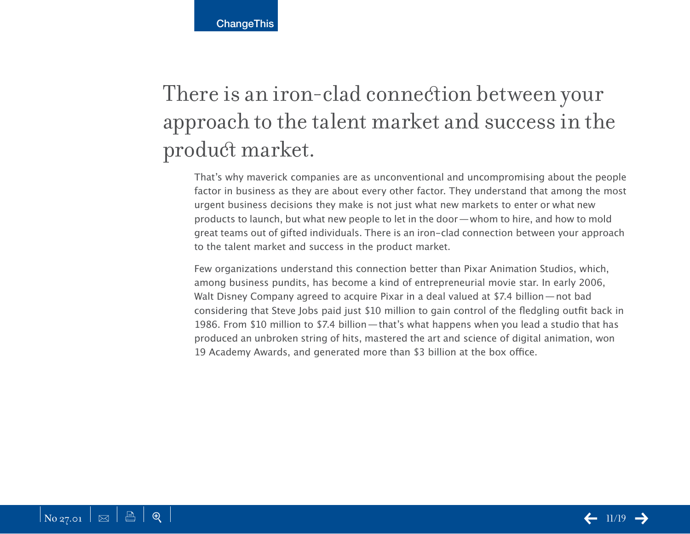**ChangeThis** 

# There is an iron-clad connection between your approach to the talent market and success in the product market.

That's why maverick companies are as unconventional and uncompromising about the people factor in business as they are about every other factor. They understand that among the most urgent business decisions they make is not just what new markets to enter or what new products to launch, but what new people to let in the door—whom to hire, and how to mold great teams out of gifted individuals. There is an iron-clad connection between your approach to the talent market and success in the product market.

Few organizations understand this connection better than Pixar Animation Studios, which, among business pundits, has become a kind of entrepreneurial movie star. In early 2006, Walt Disney Company agreed to acquire Pixar in a deal valued at \$7.4 billion—not bad considering that Steve Jobs paid just \$10 million to gain control of the fledgling outfit back in 1986. From \$10 million to \$7.4 billion—that's what happens when you lead a studio that has produced an unbroken string of hits, mastered the art and science of digital animation, won 19 Academy Awards, and generated more than \$3 billion at the box office.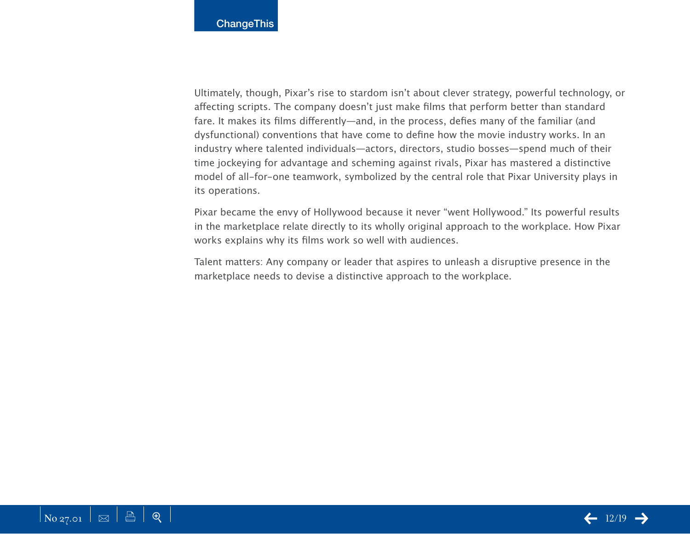Ultimately, though, Pixar's rise to stardom isn't about clever strategy, powerful technology, or affecting scripts. The company doesn't just make films that perform better than standard fare. It makes its films differently—and, in the process, defies many of the familiar (and dysfunctional) conventions that have come to define how the movie industry works. In an industry where talented individuals—actors, directors, studio bosses—spend much of their time jockeying for advantage and scheming against rivals, Pixar has mastered a distinctive model of all-for-one teamwork, symbolized by the central role that Pixar University plays in its operations.

Pixar became the envy of Hollywood because it never "went Hollywood." Its powerful results in the marketplace relate directly to its wholly original approach to the workplace. How Pixar works explains why its films work so well with audiences.

Talent matters: Any company or leader that aspires to unleash a disruptive presence in the marketplace needs to devise a distinctive approach to the workplace.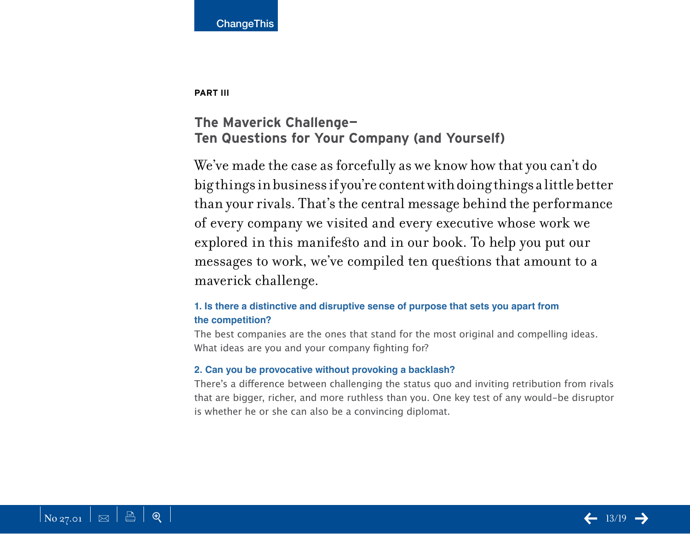

**PART III** 

## **The Maverick Challenge— Ten Questions for Your Company (and Yourself)**

We've made the case as forcefully as we know how that you can't do big things in business if you're content with doing things a little better than your rivals. That's the central message behind the performance of every company we visited and every executive whose work we explored in this manifesto and in our book. To help you put our messages to work, we've compiled ten questions that amount to a maverick challenge.

### **1. Is there a distinctive and disruptive sense of purpose that sets you apart from the competition?**

The best companies are the ones that stand for the most original and compelling ideas. What ideas are you and your company fighting for?

#### **2. Can you be provocative without provoking a backlash?**

There's a difference between challenging the status quo and inviting retribution from rivals that are bigger, richer, and more ruthless than you. One key test of any would-be disruptor is whether he or she can also be a convincing diplomat.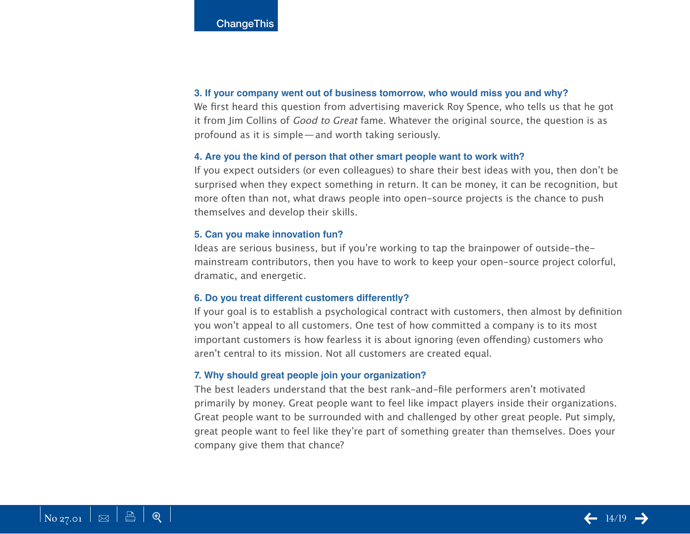#### **3. If your company went out of business tomorrow, who would miss you and why?**

We first heard this question from advertising maverick Roy Spence, who tells us that he got it from Jim Collins of Good to Great fame. Whatever the original source, the question is as profound as it is simple—and worth taking seriously.

#### **4. Are you the kind of person that other smart people want to work with?**

If you expect outsiders (or even colleagues) to share their best ideas with you, then don't be surprised when they expect something in return. It can be money, it can be recognition, but more often than not, what draws people into open-source projects is the chance to push themselves and develop their skills.

#### **5. Can you make innovation fun?**

Ideas are serious business, but if you're working to tap the brainpower of outside-themainstream contributors, then you have to work to keep your open-source project colorful, dramatic, and energetic.

#### **6. Do you treat different customers differently?**

If your goal is to establish a psychological contract with customers, then almost by definition you won't appeal to all customers. One test of how committed a company is to its most important customers is how fearless it is about ignoring (even offending) customers who aren't central to its mission. Not all customers are created equal.

#### **7. Why should great people join your organization?**

The best leaders understand that the best rank-and-file performers aren't motivated primarily by money. Great people want to feel like impact players inside their organizations. Great people want to be surrounded with and challenged by other great people. Put simply, great people want to feel like they're part of something greater than themselves. Does your company give them that chance?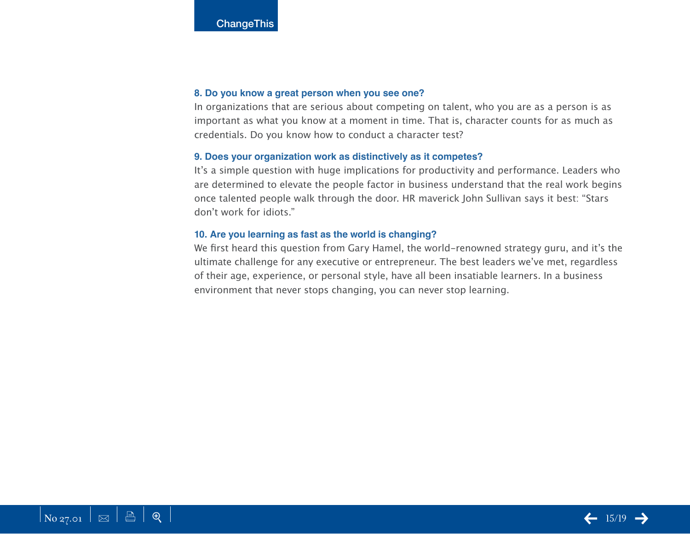#### **8. Do you know a great person when you see one?**

In organizations that are serious about competing on talent, who you are as a person is as important as what you know at a moment in time. That is, character counts for as much as credentials. Do you know how to conduct a character test?

#### **9. Does your organization work as distinctively as it competes?**

It's a simple question with huge implications for productivity and performance. Leaders who are determined to elevate the people factor in business understand that the real work begins once talented people walk through the door. HR maverick John Sullivan says it best: "Stars don't work for idiots."

#### **10. Are you learning as fast as the world is changing?**

We first heard this question from Gary Hamel, the world-renowned strategy guru, and it's the ultimate challenge for any executive or entrepreneur. The best leaders we've met, regardless of their age, experience, or personal style, have all been insatiable learners. In a business environment that never stops changing, you can never stop learning.

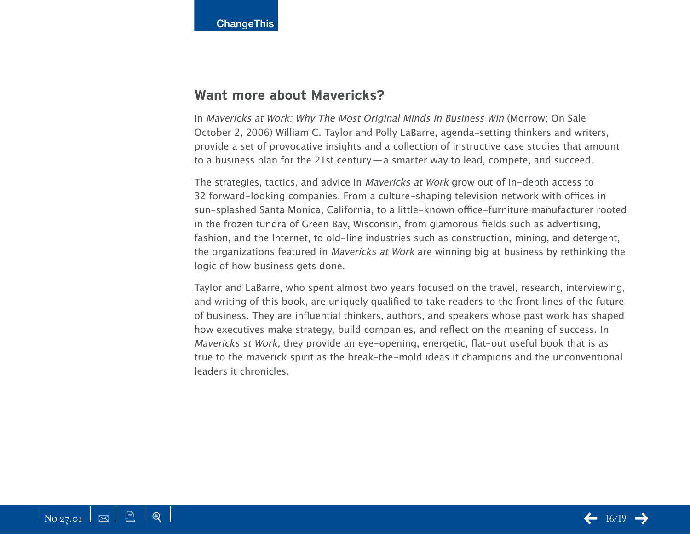## **Want more about Mavericks?**

In Mavericks at Work: Why The Most Original Minds in Business Win (Morrow; On Sale October 2, 2006) William C. Taylor and Polly LaBarre, agenda-setting thinkers and writers, provide a set of provocative insights and a collection of instructive case studies that amount to a business plan for the 21st century—a smarter way to lead, compete, and succeed.

The strategies, tactics, and advice in Mavericks at Work grow out of in-depth access to 32 forward-looking companies. From a culture-shaping television network with offices in sun-splashed Santa Monica, California, to a little-known office-furniture manufacturer rooted in the frozen tundra of Green Bay, Wisconsin, from glamorous fields such as advertising, fashion, and the Internet, to old-line industries such as construction, mining, and detergent, the organizations featured in Mavericks at Work are winning big at business by rethinking the logic of how business gets done.

Taylor and LaBarre, who spent almost two years focused on the travel, research, interviewing, and writing of this book, are uniquely qualified to take readers to the front lines of the future of business. They are influential thinkers, authors, and speakers whose past work has shaped how executives make strategy, build companies, and reflect on the meaning of success. In Mavericks st Work, they provide an eye-opening, energetic, flat-out useful book that is as true to the maverick spirit as the break-the-mold ideas it champions and the unconventional leaders it chronicles.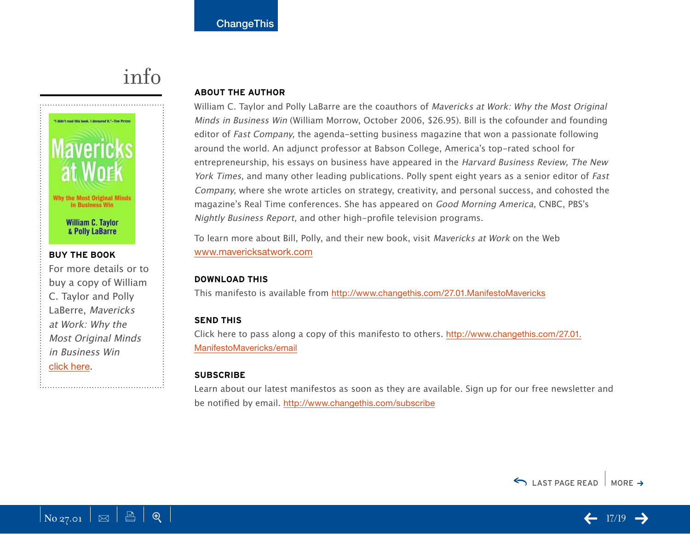# info

<span id="page-16-0"></span>

## For more details or to buy a copy of William C. Taylor and Polly LaBerre, Mavericks at Work: Why the Most Original Minds in Business Win [click here](http://800ceoread.com/products/?ISBN=0060779616).

#### **About the Author**

William C. Taylor and Polly LaBarre are the coauthors of Mavericks at Work: Why the Most Original Minds in Business Win (William Morrow, October 2006, \$26.95). Bill is the cofounder and founding editor of *Fast Company*, the agenda-setting business magazine that won a passionate following around the world. An adjunct professor at Babson College, America's top-rated school for entrepreneurship, his essays on business have appeared in the Harvard Business Review, The New York Times, and many other leading publications. Polly spent eight years as a senior editor of Fast Company, where she wrote articles on strategy, creativity, and personal success, and cohosted the magazine's Real Time conferences. She has appeared on Good Morning America, CNBC, PBS's Nightly Business Report, and other high-profile television programs.

To learn more about Bill, Polly, and their new book, visit Mavericks at Work on the Web <www.mavericksatwork.com>

#### **download this**

This manifesto is available from <http://www.changethis.com/27.01.ManifestoMavericks>

#### **send this**

[Click here to pass along a copy of this manifesto to others.](http://www.changethis.com/27.01.ManifestoMavericks/email) http://www.changethis.com/27.01. ManifestoMavericks/email

#### **Subscribe**

Learn about our latest manifestos as soon as they are available. Sign up for our free newsletter and be notified by email. <http://www.changethis.com/subscribe>



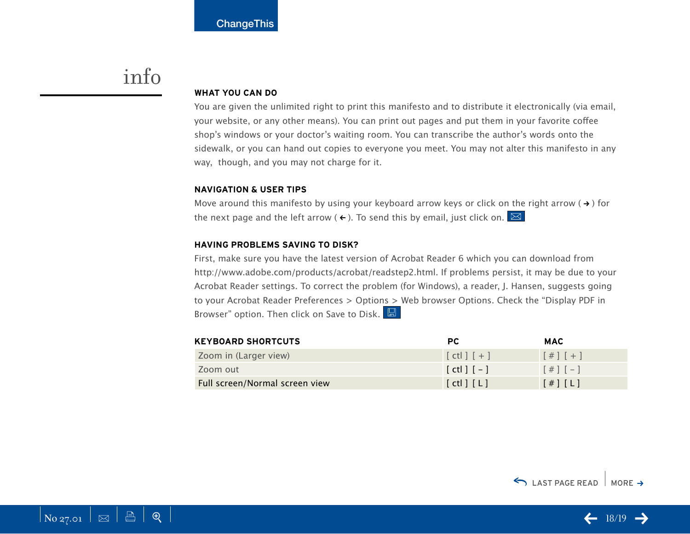## info

#### **WHAT YOU CAN DO**

You are given the unlimited right to print this manifesto and to distribute it electronically (via email, your website, or any other means). You can print out pages and put them in your favorite coffee shop's windows or your doctor's waiting room. You can transcribe the author's words onto the sidewalk, or you can hand out copies to everyone you meet. You may not alter this manifesto in any way, though, and you may not charge for it.

#### **Navigation & User Tips**

Move around this manifesto by using your keyboard arrow keys or click on the right arrow ( $\rightarrow$ ) for the next page and the left arrow ( $\leftarrow$ ). To send this by email, just click on.  $\boxtimes$ 

#### **Having problems saving to disk?**

First, make sure you have the latest version of Acrobat Reader 6 which you can download from [http://www.adobe.com/products/acrobat/readstep2.htm](http://www.adobe.com/products/acrobat/readstep2.html)l. If problems persist, it may be due to your Acrobat Reader settings. To correct the problem (for Windows), a reader, J. Hansen, suggests going to your Acrobat Reader Preferences > Options > Web browser Options. Check the "Display PDF in Browser" option. Then click on Save to Disk.

| <b>KEYBOARD SHORTCUTS</b>      | PC.                   | <b>MAC</b>          |
|--------------------------------|-----------------------|---------------------|
| Zoom in (Larger view)          | $[ct]$ $[$ + $]$      | $[#]$ $[+]$         |
| Zoom out                       | $[$ ctl $]$ $[-]$     | $[#] [-]$           |
| Full screen/Normal screen view | $[$ ctl $]$ $[$ L $]$ | $[$ # $]$ $[$ L $]$ |